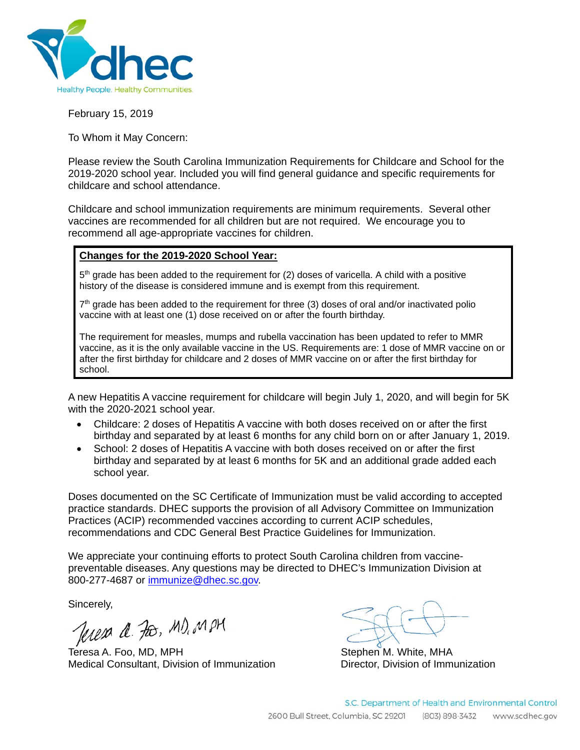

February 15, 2019

To Whom it May Concern:

Please review the South Carolina Immunization Requirements for Childcare and School for the 2019-2020 school year. Included you will find general guidance and specific requirements for childcare and school attendance.

Childcare and school immunization requirements are minimum requirements. Several other vaccines are recommended for all children but are not required. We encourage you to recommend all age-appropriate vaccines for children.

#### **Changes for the 2019-2020 School Year:**

 $5<sup>th</sup>$  grade has been added to the requirement for (2) doses of varicella. A child with a positive history of the disease is considered immune and is exempt from this requirement.

 $7<sup>th</sup>$  grade has been added to the requirement for three (3) doses of oral and/or inactivated polio vaccine with at least one (1) dose received on or after the fourth birthday.

The requirement for measles, mumps and rubella vaccination has been updated to refer to MMR vaccine, as it is the only available vaccine in the US. Requirements are: 1 dose of MMR vaccine on or after the first birthday for childcare and 2 doses of MMR vaccine on or after the first birthday for school.

A new Hepatitis A vaccine requirement for childcare will begin July 1, 2020, and will begin for 5K with the 2020-2021 school year.

- Childcare: 2 doses of Hepatitis A vaccine with both doses received on or after the first birthday and separated by at least 6 months for any child born on or after January 1, 2019.
- School: 2 doses of Hepatitis A vaccine with both doses received on or after the first birthday and separated by at least 6 months for 5K and an additional grade added each school year.

Doses documented on the SC Certificate of Immunization must be valid according to accepted practice standards. DHEC supports the provision of all Advisory Committee on Immunization Practices (ACIP) recommended vaccines according to current ACIP schedules, recommendations and CDC General Best Practice Guidelines for Immunization.

We appreciate your continuing efforts to protect South Carolina children from vaccinepreventable diseases. Any questions may be directed to DHEC's Immunization Division at 800-277-4687 or immunize@dhec.sc.gov.

Sincerely,

Jeresa a. For, MD, MPM

Teresa A. Foo, MD, MPH Stephen M. White, MHA Medical Consultant, Division of Immunization Director, Division of Immunization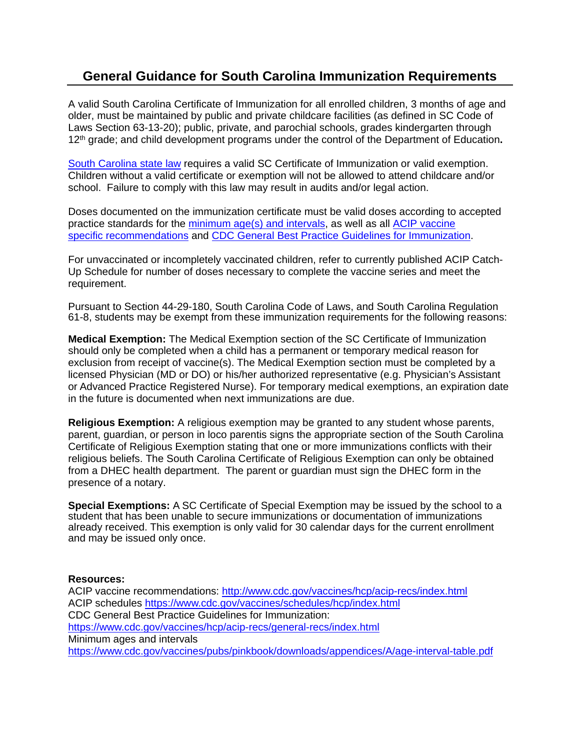## **General Guidance for South Carolina Immunization Requirements**

A valid South Carolina Certificate of Immunization for all enrolled children, 3 months of age and older, must be maintained by public and private childcare facilities (as defined in SC Code of Laws Section 63-13-20); public, private, and parochial schools, grades kindergarten through 12th grade; and child development programs under the control of the Department of Education**.** 

South Carolina state law requires a valid SC Certificate of Immunization or valid exemption. Children without a valid certificate or exemption will not be allowed to attend childcare and/or school. Failure to comply with this law may result in audits and/or legal action.

Doses documented on the immunization certificate must be valid doses according to accepted practice standards for the minimum age(s) and intervals, as well as all ACIP vaccine specific recommendations and CDC General Best Practice Guidelines for Immunization.

For unvaccinated or incompletely vaccinated children, refer to currently published ACIP Catch-Up Schedule for number of doses necessary to complete the vaccine series and meet the requirement.

Pursuant to Section 44-29-180, South Carolina Code of Laws, and South Carolina Regulation 61-8, students may be exempt from these immunization requirements for the following reasons:

**Medical Exemption:** The Medical Exemption section of the SC Certificate of Immunization should only be completed when a child has a permanent or temporary medical reason for exclusion from receipt of vaccine(s). The Medical Exemption section must be completed by a licensed Physician (MD or DO) or his/her authorized representative (e.g. Physician's Assistant or Advanced Practice Registered Nurse). For temporary medical exemptions, an expiration date in the future is documented when next immunizations are due.

**Religious Exemption:** A religious exemption may be granted to any student whose parents, parent, guardian, or person in loco parentis signs the appropriate section of the South Carolina Certificate of Religious Exemption stating that one or more immunizations conflicts with their religious beliefs. The South Carolina Certificate of Religious Exemption can only be obtained from a DHEC health department. The parent or guardian must sign the DHEC form in the presence of a notary.

**Special Exemptions:** A SC Certificate of Special Exemption may be issued by the school to a student that has been unable to secure immunizations or documentation of immunizations already received. This exemption is only valid for 30 calendar days for the current enrollment and may be issued only once.

#### **Resources:**

ACIP vaccine recommendations: http://www.cdc.gov/vaccines/hcp/acip-recs/index.html ACIP schedules https://www.cdc.gov/vaccines/schedules/hcp/index.html CDC General Best Practice Guidelines for Immunization: https://www.cdc.gov/vaccines/hcp/acip-recs/general-recs/index.html Minimum ages and intervals https://www.cdc.gov/vaccines/pubs/pinkbook/downloads/appendices/A/age-interval-table.pdf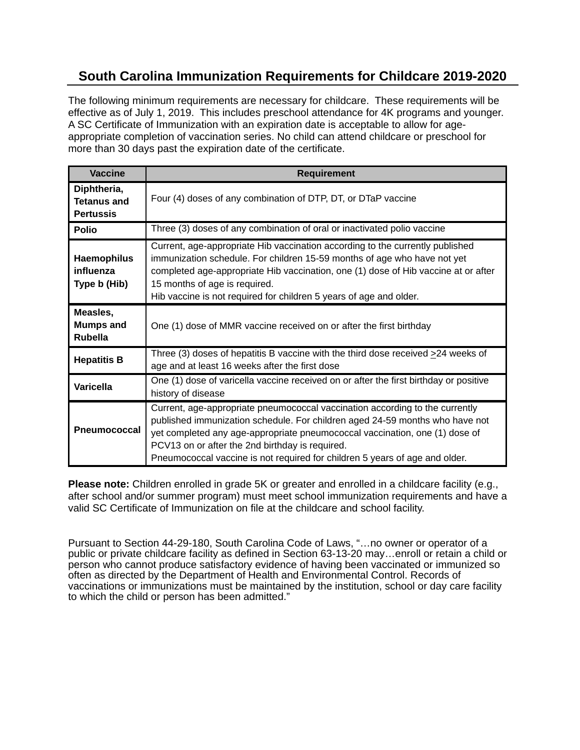## **South Carolina Immunization Requirements for Childcare 2019-2020**

The following minimum requirements are necessary for childcare. These requirements will be effective as of July 1, 2019. This includes preschool attendance for 4K programs and younger. A SC Certificate of Immunization with an expiration date is acceptable to allow for ageappropriate completion of vaccination series. No child can attend childcare or preschool for more than 30 days past the expiration date of the certificate.

| <b>Vaccine</b>                                        | <b>Requirement</b>                                                                                                                                                                                                                                                                                                                                                            |  |
|-------------------------------------------------------|-------------------------------------------------------------------------------------------------------------------------------------------------------------------------------------------------------------------------------------------------------------------------------------------------------------------------------------------------------------------------------|--|
| Diphtheria,<br><b>Tetanus and</b><br><b>Pertussis</b> | Four (4) doses of any combination of DTP, DT, or DTaP vaccine                                                                                                                                                                                                                                                                                                                 |  |
| <b>Polio</b>                                          | Three (3) doses of any combination of oral or inactivated polio vaccine                                                                                                                                                                                                                                                                                                       |  |
| <b>Haemophilus</b><br>influenza<br>Type b (Hib)       | Current, age-appropriate Hib vaccination according to the currently published<br>immunization schedule. For children 15-59 months of age who have not yet<br>completed age-appropriate Hib vaccination, one (1) dose of Hib vaccine at or after<br>15 months of age is required.<br>Hib vaccine is not required for children 5 years of age and older.                        |  |
| Measles,<br><b>Mumps and</b><br><b>Rubella</b>        | One (1) dose of MMR vaccine received on or after the first birthday                                                                                                                                                                                                                                                                                                           |  |
| <b>Hepatitis B</b>                                    | Three (3) doses of hepatitis B vaccine with the third dose received $\geq$ 24 weeks of<br>age and at least 16 weeks after the first dose                                                                                                                                                                                                                                      |  |
| <b>Varicella</b>                                      | One (1) dose of varicella vaccine received on or after the first birthday or positive<br>history of disease                                                                                                                                                                                                                                                                   |  |
| <b>Pneumococcal</b>                                   | Current, age-appropriate pneumococcal vaccination according to the currently<br>published immunization schedule. For children aged 24-59 months who have not<br>yet completed any age-appropriate pneumococcal vaccination, one (1) dose of<br>PCV13 on or after the 2nd birthday is required.<br>Pneumococcal vaccine is not required for children 5 years of age and older. |  |

**Please note:** Children enrolled in grade 5K or greater and enrolled in a childcare facility (e.g., after school and/or summer program) must meet school immunization requirements and have a valid SC Certificate of Immunization on file at the childcare and school facility.

Pursuant to Section 44-29-180, South Carolina Code of Laws, "…no owner or operator of a public or private childcare facility as defined in Section 63-13-20 may…enroll or retain a child or person who cannot produce satisfactory evidence of having been vaccinated or immunized so often as directed by the Department of Health and Environmental Control. Records of vaccinations or immunizations must be maintained by the institution, school or day care facility to which the child or person has been admitted."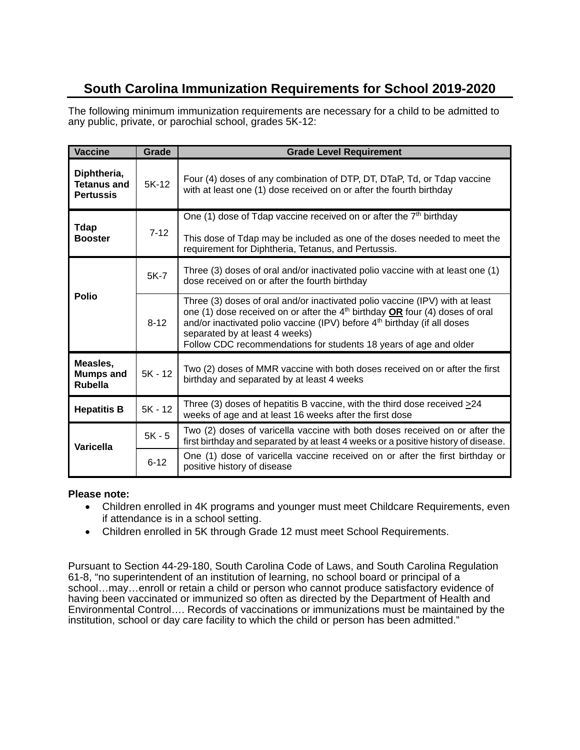# **South Carolina Immunization Requirements for School 2019-2020**

The following minimum immunization requirements are necessary for a child to be admitted to any public, private, or parochial school, grades 5K-12:

| Vaccine                                               | Grade     | <b>Grade Level Requirement</b>                                                                                                                                                                                                                                                                                                                                  |
|-------------------------------------------------------|-----------|-----------------------------------------------------------------------------------------------------------------------------------------------------------------------------------------------------------------------------------------------------------------------------------------------------------------------------------------------------------------|
| Diphtheria,<br><b>Tetanus and</b><br><b>Pertussis</b> | 5K-12     | Four (4) doses of any combination of DTP, DT, DTaP, Td, or Tdap vaccine<br>with at least one (1) dose received on or after the fourth birthday                                                                                                                                                                                                                  |
| <b>Tdap</b><br><b>Booster</b>                         | $7 - 12$  | One (1) dose of Tdap vaccine received on or after the $7th$ birthday<br>This dose of Tdap may be included as one of the doses needed to meet the<br>requirement for Diphtheria, Tetanus, and Pertussis.                                                                                                                                                         |
| <b>Polio</b>                                          | 5K-7      | Three (3) doses of oral and/or inactivated polio vaccine with at least one (1)<br>dose received on or after the fourth birthday                                                                                                                                                                                                                                 |
|                                                       | $8 - 12$  | Three (3) doses of oral and/or inactivated polio vaccine (IPV) with at least<br>one (1) dose received on or after the $4th$ birthday $OR$ four (4) doses of oral<br>and/or inactivated polio vaccine (IPV) before 4 <sup>th</sup> birthday (if all doses<br>separated by at least 4 weeks)<br>Follow CDC recommendations for students 18 years of age and older |
| Measles,<br><b>Mumps and</b><br><b>Rubella</b>        | $5K - 12$ | Two (2) doses of MMR vaccine with both doses received on or after the first<br>birthday and separated by at least 4 weeks                                                                                                                                                                                                                                       |
| <b>Hepatitis B</b>                                    | $5K - 12$ | Three (3) doses of hepatitis B vaccine, with the third dose received $\geq$ 24<br>weeks of age and at least 16 weeks after the first dose                                                                                                                                                                                                                       |
| <b>Varicella</b>                                      | $5K - 5$  | Two (2) doses of varicella vaccine with both doses received on or after the<br>first birthday and separated by at least 4 weeks or a positive history of disease.                                                                                                                                                                                               |
|                                                       | $6 - 12$  | One (1) dose of varicella vaccine received on or after the first birthday or<br>positive history of disease                                                                                                                                                                                                                                                     |

#### **Please note:**

- Children enrolled in 4K programs and younger must meet Childcare Requirements, even if attendance is in a school setting.
- Children enrolled in 5K through Grade 12 must meet School Requirements.

Pursuant to Section 44-29-180, South Carolina Code of Laws, and South Carolina Regulation 61-8, "no superintendent of an institution of learning, no school board or principal of a school…may…enroll or retain a child or person who cannot produce satisfactory evidence of having been vaccinated or immunized so often as directed by the Department of Health and Environmental Control.... Records of vaccinations or immunizations must be maintained by the institution, school or day care facility to which the child or person has been admitted."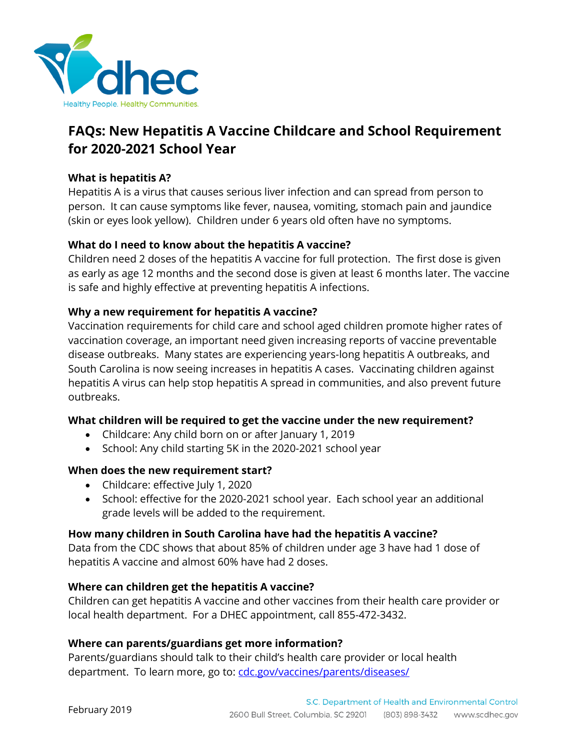

# **FAQs: New Hepatitis A Vaccine Childcare and School Requirement for 2020-2021 School Year**

#### **What is hepatitis A?**

Hepatitis A is a virus that causes serious liver infection and can spread from person to person. It can cause symptoms like fever, nausea, vomiting, stomach pain and jaundice (skin or eyes look yellow). Children under 6 years old often have no symptoms.

## **What do I need to know about the hepatitis A vaccine?**

Children need 2 doses of the hepatitis A vaccine for full protection. The first dose is given as early as age 12 months and the second dose is given at least 6 months later. The vaccine is safe and highly effective at preventing hepatitis A infections.

## **Why a new requirement for hepatitis A vaccine?**

Vaccination requirements for child care and school aged children promote higher rates of vaccination coverage, an important need given increasing reports of vaccine preventable disease outbreaks. Many states are experiencing years-long hepatitis A outbreaks, and South Carolina is now seeing increases in hepatitis A cases. Vaccinating children against hepatitis A virus can help stop hepatitis A spread in communities, and also prevent future outbreaks.

#### **What children will be required to get the vaccine under the new requirement?**

- Childcare: Any child born on or after January 1, 2019
- School: Any child starting 5K in the 2020-2021 school year

#### **When does the new requirement start?**

- Childcare: effective July 1, 2020
- School: effective for the 2020-2021 school year. Each school year an additional grade levels will be added to the requirement.

#### **How many children in South Carolina have had the hepatitis A vaccine?**

Data from the CDC shows that about 85% of children under age 3 have had 1 dose of hepatitis A vaccine and almost 60% have had 2 doses.

#### **Where can children get the hepatitis A vaccine?**

Children can get hepatitis A vaccine and other vaccines from their health care provider or local health department. For a DHEC appointment, call 855-472-3432.

#### **Where can parents/guardians get more information?**

Parents/guardians should talk to their child's health care provider or local health department. To learn more, go to: cdc.gov/vaccines/parents/diseases/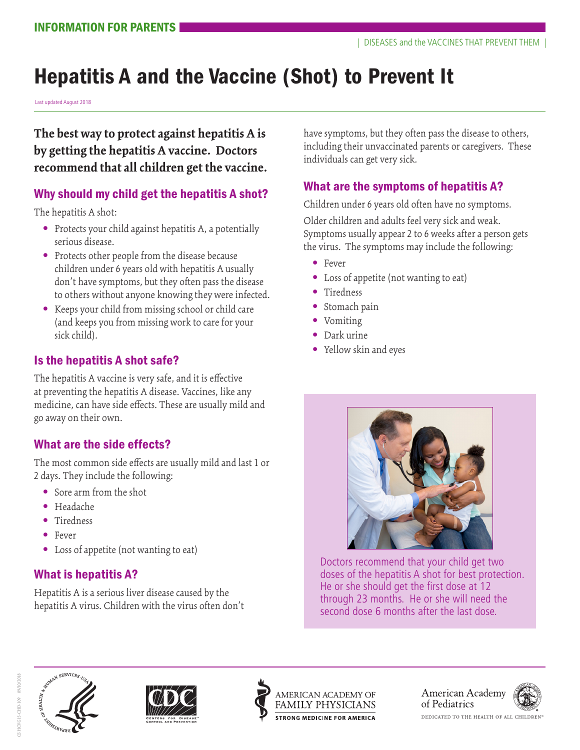# Hepatitis A and the Vaccine (Shot) to Prevent It

Last updated August 2018

**The best way to protect against hepatitis A is by getting the hepatitis A vaccine. Doctors recommend that all children get the vaccine.** 

## Why should my child get the hepatitis A shot?

The hepatitis A shot:

- **•** Protects your child against hepatitis A, a potentially serious disease.
- **•** Protects other people from the disease because children under 6 years old with hepatitis A usually don't have symptoms, but they often pass the disease to others without anyone knowing they were infected.
- **•** Keeps your child from missing school or child care (and keeps you from missing work to care for your sick child).

## Is the hepatitis A shot safe?

The hepatitis A vaccine is very safe, and it is effective at preventing the hepatitis A disease. Vaccines, like any medicine, can have side effects. These are usually mild and go away on their own.

## What are the side effects?

The most common side effects are usually mild and last 1 or 2 days. They include the following:

- **•** Sore arm from the shot
- **•** Headache
- **•** Tiredness
- **•** Fever
- **•** Loss of appetite (not wanting to eat)

## What is hepatitis A?

Hepatitis A is a serious liver disease caused by the hepatitis A virus. Children with the virus often don't have symptoms, but they often pass the disease to others, including their unvaccinated parents or caregivers. These individuals can get very sick.

## What are the symptoms of hepatitis A?

Children under 6 years old often have no symptoms.

Older children and adults feel very sick and weak. Symptoms usually appear 2 to 6 weeks after a person gets the virus. The symptoms may include the following:

- **•** Fever
- **•** Loss of appetite (not wanting to eat)
- **•** Tiredness
- **•** Stomach pain
- **•** Vomiting
- **•** Dark urine
- **•** Yellow skin and eyes



Doctors recommend that your child get two doses of the hepatitis A shot for best protection. He or she should get the first dose at 12 through 23 months. He or she will need the second dose 6 months after the last dose.







American Academy of Pediatrics